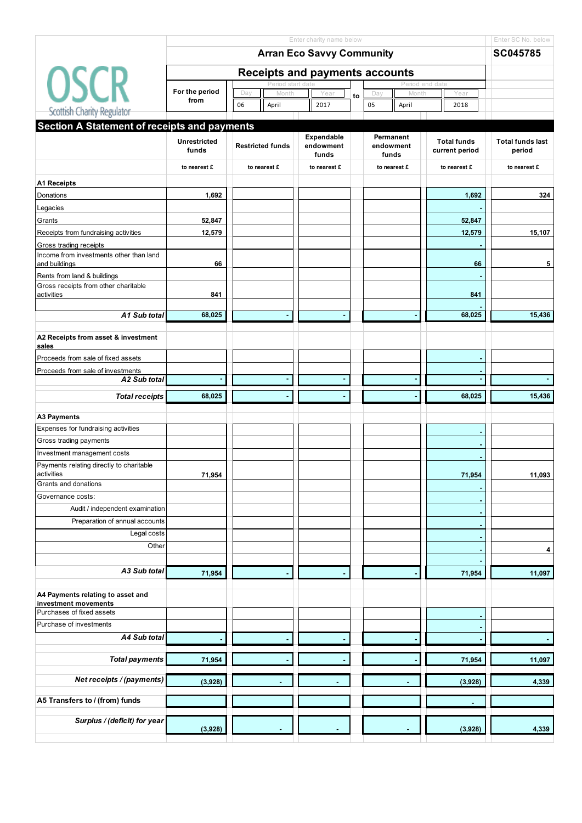| Enter charity name below                                                |                        |                                       |                    |    |                    |       |                    |                         |  |  |
|-------------------------------------------------------------------------|------------------------|---------------------------------------|--------------------|----|--------------------|-------|--------------------|-------------------------|--|--|
|                                                                         |                        | SC045785                              |                    |    |                    |       |                    |                         |  |  |
|                                                                         |                        | <b>Receipts and payments accounts</b> |                    |    |                    |       |                    |                         |  |  |
| <b>OSCR</b>                                                             |                        | Period start date                     |                    |    |                    |       | Period end date    |                         |  |  |
|                                                                         | For the period<br>from | Day<br>Month                          | Year               | to | Day                | Month | Year               |                         |  |  |
| Scottish Charity Regulator                                              |                        | 06<br>April                           | 2017               |    | 05<br>April        |       | 2018               |                         |  |  |
| Section A Statement of receipts and payments                            |                        |                                       |                    |    |                    |       |                    |                         |  |  |
|                                                                         | <b>Unrestricted</b>    |                                       | Expendable         |    | Permanent          |       | <b>Total funds</b> | <b>Total funds last</b> |  |  |
|                                                                         | funds                  | <b>Restricted funds</b>               | endowment<br>funds |    | endowment<br>funds |       | current period     | period                  |  |  |
|                                                                         | to nearest £           | to nearest £                          | to nearest £       |    | to nearest £       |       | to nearest £       | to nearest £            |  |  |
| <b>A1 Receipts</b>                                                      |                        |                                       |                    |    |                    |       |                    |                         |  |  |
| Donations                                                               | 1,692                  |                                       |                    |    |                    |       | 1,692              | 324                     |  |  |
| Legacies                                                                |                        |                                       |                    |    |                    |       |                    |                         |  |  |
| Grants                                                                  | 52,847                 |                                       |                    |    |                    |       | 52,847             |                         |  |  |
| Receipts from fundraising activities                                    | 12,579                 |                                       |                    |    |                    |       | 12,579             | 15,107                  |  |  |
| Gross trading receipts                                                  |                        |                                       |                    |    |                    |       |                    |                         |  |  |
| Income from investments other than land<br>and buildings                | 66                     |                                       |                    |    |                    |       | 66                 | 5                       |  |  |
| Rents from land & buildings                                             |                        |                                       |                    |    |                    |       |                    |                         |  |  |
| Gross receipts from other charitable<br>activities                      | 841                    |                                       |                    |    |                    |       | 841                |                         |  |  |
| A1 Sub total                                                            | 68,025                 | ٠                                     |                    |    |                    |       | 68,025             | 15,436                  |  |  |
| A2 Receipts from asset & investment<br>sales                            |                        |                                       |                    |    |                    |       |                    |                         |  |  |
| Proceeds from sale of fixed assets                                      |                        |                                       |                    |    |                    |       |                    |                         |  |  |
| Proceeds from sale of investments                                       |                        |                                       |                    |    |                    |       |                    |                         |  |  |
| A2 Sub total                                                            |                        | ä,                                    |                    |    |                    |       |                    |                         |  |  |
| <b>Total receipts</b>                                                   | 68,025                 |                                       |                    |    |                    |       | 68,025             | 15,436                  |  |  |
|                                                                         |                        |                                       |                    |    |                    |       |                    |                         |  |  |
| <b>A3 Payments</b>                                                      |                        |                                       |                    |    |                    |       |                    |                         |  |  |
| Expenses for fundraising activities                                     |                        |                                       |                    |    |                    |       |                    |                         |  |  |
| Gross trading payments                                                  |                        |                                       |                    |    |                    |       |                    |                         |  |  |
| Investment management costs<br>Payments relating directly to charitable |                        |                                       |                    |    |                    |       |                    |                         |  |  |
| activities                                                              | 71,954                 |                                       |                    |    |                    |       | 71,954             | 11,093                  |  |  |
| Grants and donations                                                    |                        |                                       |                    |    |                    |       |                    |                         |  |  |
| Governance costs:                                                       |                        |                                       |                    |    |                    |       |                    |                         |  |  |
| Audit / independent examination                                         |                        |                                       |                    |    |                    |       |                    |                         |  |  |
| Preparation of annual accounts                                          |                        |                                       |                    |    |                    |       |                    |                         |  |  |
| Legal costs                                                             |                        |                                       |                    |    |                    |       |                    |                         |  |  |
| Other                                                                   |                        |                                       |                    |    |                    |       |                    | 4                       |  |  |
|                                                                         |                        |                                       |                    |    |                    |       |                    |                         |  |  |
| A3 Sub total                                                            | 71,954                 |                                       |                    |    |                    |       | 71,954             | 11,097                  |  |  |
| A4 Payments relating to asset and                                       |                        |                                       |                    |    |                    |       |                    |                         |  |  |
| investment movements                                                    |                        |                                       |                    |    |                    |       |                    |                         |  |  |
| Purchases of fixed assets                                               |                        |                                       |                    |    |                    |       |                    |                         |  |  |
| Purchase of investments                                                 |                        |                                       |                    |    |                    |       |                    |                         |  |  |
| A4 Sub total                                                            |                        |                                       |                    |    |                    |       |                    |                         |  |  |
| <b>Total payments</b>                                                   | 71,954                 |                                       |                    |    |                    |       | 71,954             | 11,097                  |  |  |
| Net receipts / (payments)                                               | (3,928)                |                                       |                    |    |                    |       | (3,928)            | 4,339                   |  |  |
|                                                                         |                        |                                       |                    |    |                    |       |                    |                         |  |  |
| A5 Transfers to / (from) funds                                          |                        |                                       |                    |    |                    |       |                    |                         |  |  |
| Surplus / (deficit) for year                                            | (3,928)                |                                       |                    |    |                    |       | (3,928)            | 4,339                   |  |  |
|                                                                         |                        |                                       |                    |    |                    |       |                    |                         |  |  |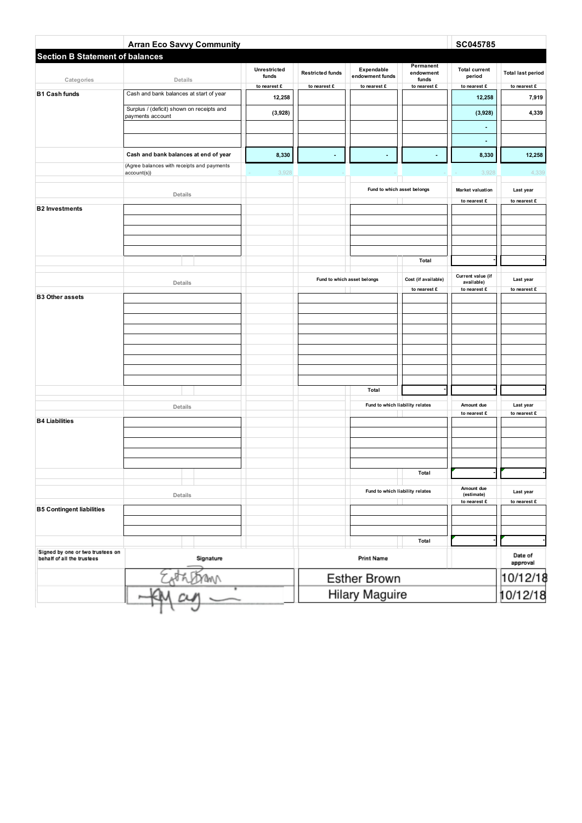|                                        | <b>Arran Eco Savvy Community</b>                              |                              |                         |                                 |                        | SC045785                        |                                    |
|----------------------------------------|---------------------------------------------------------------|------------------------------|-------------------------|---------------------------------|------------------------|---------------------------------|------------------------------------|
| <b>Section B Statement of balances</b> |                                                               | <b>Unrestricted</b><br>funds | <b>Restricted funds</b> | Expendable<br>endowment funds   | Permanent<br>endowment | <b>Total current</b><br>period  | <b>Total last period</b>           |
| Categories                             | Details                                                       | to nearest £                 | to nearest £            | to nearest £                    | funds<br>to nearest £  | to nearest £                    | to nearest £                       |
| <b>B1 Cash funds</b>                   | Cash and bank balances at start of year                       | 12,258                       |                         |                                 |                        | 12,258                          | 7,919                              |
|                                        | Surplus / (deficit) shown on receipts and<br>payments account | (3,928)                      |                         |                                 |                        | (3,928)                         | 4,339                              |
|                                        |                                                               |                              |                         |                                 |                        |                                 |                                    |
|                                        |                                                               |                              |                         |                                 |                        | $\blacksquare$                  |                                    |
|                                        | Cash and bank balances at end of year                         | 8,330                        | $\blacksquare$          |                                 |                        | 8,330                           | 12,258                             |
|                                        | (Agree balances with receipts and payments<br>account(s))     | 3,928                        |                         |                                 |                        | 3,928                           | 4,339                              |
|                                        | Details                                                       |                              |                         | Fund to which asset belongs     |                        | <b>Market valuation</b>         | Last year                          |
| <b>B2</b> Investments                  |                                                               |                              |                         |                                 |                        | to nearest £                    | to nearest £                       |
|                                        |                                                               |                              |                         |                                 |                        |                                 |                                    |
|                                        |                                                               |                              |                         |                                 |                        |                                 |                                    |
|                                        |                                                               |                              |                         |                                 |                        |                                 |                                    |
|                                        |                                                               |                              |                         |                                 | Total                  |                                 |                                    |
|                                        |                                                               |                              |                         |                                 |                        |                                 |                                    |
|                                        | Details                                                       |                              |                         | Fund to which asset belongs     | Cost (if available)    | Current value (if<br>available) | Last year                          |
| <b>B3 Other assets</b>                 |                                                               |                              |                         |                                 | to nearest £           | to nearest £                    | to nearest £                       |
|                                        |                                                               |                              |                         |                                 |                        |                                 |                                    |
|                                        |                                                               |                              |                         |                                 |                        |                                 |                                    |
|                                        |                                                               |                              |                         |                                 |                        |                                 |                                    |
|                                        |                                                               |                              |                         |                                 |                        |                                 |                                    |
|                                        |                                                               |                              |                         |                                 |                        |                                 |                                    |
|                                        |                                                               |                              |                         |                                 |                        |                                 |                                    |
|                                        |                                                               |                              |                         | Total                           |                        |                                 |                                    |
|                                        |                                                               |                              |                         | Fund to which liability relates |                        | Amount due                      | Last year                          |
|                                        | Details                                                       |                              |                         |                                 |                        | to nearest £                    | to nearest £                       |
| <b>B4 Liabilities</b>                  |                                                               |                              |                         |                                 |                        |                                 |                                    |
|                                        |                                                               |                              |                         |                                 |                        |                                 |                                    |
|                                        |                                                               |                              |                         |                                 |                        |                                 |                                    |
|                                        |                                                               |                              |                         |                                 |                        |                                 |                                    |
|                                        |                                                               |                              |                         |                                 | Total                  |                                 |                                    |
|                                        | Details                                                       |                              |                         | Fund to which liability relates |                        | Amount due<br>(estimate)        | Last year                          |
| <b>B5 Contingent liabilities</b>       |                                                               |                              |                         |                                 |                        | to nearest £                    | to nearest $\boldsymbol{\epsilon}$ |
|                                        |                                                               |                              |                         |                                 |                        |                                 |                                    |
|                                        |                                                               |                              |                         |                                 |                        |                                 |                                    |
| Signed by one or two trustees on       |                                                               |                              |                         |                                 | Total                  |                                 |                                    |
| behalf of all the trustees             | Signature                                                     |                              |                         | <b>Print Name</b>               |                        |                                 | Date of<br>approval                |
|                                        |                                                               |                              | Esther Brown            |                                 | 10/12/18               |                                 |                                    |
|                                        |                                                               |                              |                         | Hilary Maguire                  |                        |                                 | 10/12/18                           |
|                                        |                                                               |                              |                         |                                 |                        |                                 |                                    |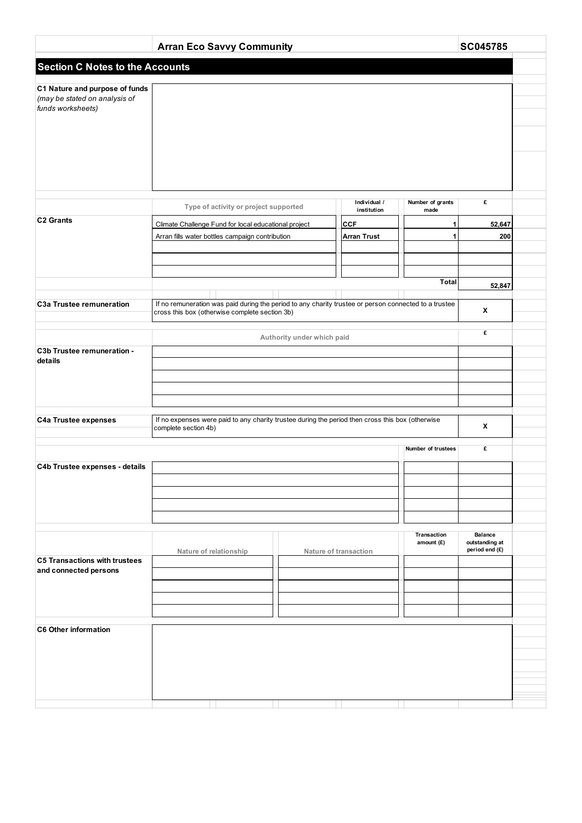|                                                               | <b>Arran Eco Savvy Community</b>                                                                                                                        | SC045785                   |                             |                             |                                                    |  |  |  |
|---------------------------------------------------------------|---------------------------------------------------------------------------------------------------------------------------------------------------------|----------------------------|-----------------------------|-----------------------------|----------------------------------------------------|--|--|--|
| <b>Section C Notes to the Accounts</b>                        |                                                                                                                                                         |                            |                             |                             |                                                    |  |  |  |
| C1 Nature and purpose of funds                                |                                                                                                                                                         |                            |                             |                             |                                                    |  |  |  |
| (may be stated on analysis of<br>funds worksheets)            |                                                                                                                                                         |                            |                             |                             |                                                    |  |  |  |
|                                                               |                                                                                                                                                         |                            |                             |                             |                                                    |  |  |  |
|                                                               |                                                                                                                                                         |                            |                             |                             |                                                    |  |  |  |
|                                                               |                                                                                                                                                         |                            |                             |                             |                                                    |  |  |  |
|                                                               |                                                                                                                                                         |                            |                             |                             |                                                    |  |  |  |
|                                                               |                                                                                                                                                         |                            |                             |                             |                                                    |  |  |  |
|                                                               | Type of activity or project supported                                                                                                                   |                            | Individual /<br>institution | Number of grants<br>made    | £                                                  |  |  |  |
| C <sub>2</sub> Grants                                         | Climate Challenge Fund for local educational project                                                                                                    |                            | <b>CCF</b>                  | 1                           | 52,647                                             |  |  |  |
|                                                               | Arran fills water bottles campaign contribution                                                                                                         |                            | <b>Arran Trust</b>          | 1                           | 200                                                |  |  |  |
|                                                               |                                                                                                                                                         |                            |                             |                             |                                                    |  |  |  |
|                                                               |                                                                                                                                                         |                            |                             | <b>Total</b>                |                                                    |  |  |  |
|                                                               |                                                                                                                                                         |                            |                             |                             | 52,847                                             |  |  |  |
| C3a Trustee remuneration                                      | If no remuneration was paid during the period to any charity trustee or person connected to a trustee<br>cross this box (otherwise complete section 3b) |                            |                             |                             | X                                                  |  |  |  |
|                                                               |                                                                                                                                                         | Authority under which paid |                             |                             | £                                                  |  |  |  |
| C3b Trustee remuneration -                                    |                                                                                                                                                         |                            |                             |                             |                                                    |  |  |  |
| details                                                       |                                                                                                                                                         |                            |                             |                             |                                                    |  |  |  |
|                                                               |                                                                                                                                                         |                            |                             |                             |                                                    |  |  |  |
|                                                               |                                                                                                                                                         |                            |                             |                             |                                                    |  |  |  |
| <b>C4a Trustee expenses</b>                                   | If no expenses were paid to any charity trustee during the period then cross this box (otherwise<br>X<br>complete section 4b)                           |                            |                             |                             |                                                    |  |  |  |
|                                                               | Number of trustees                                                                                                                                      |                            |                             |                             |                                                    |  |  |  |
|                                                               |                                                                                                                                                         |                            |                             |                             | £                                                  |  |  |  |
| C4b Trustee expenses - details                                |                                                                                                                                                         |                            |                             |                             |                                                    |  |  |  |
|                                                               |                                                                                                                                                         |                            |                             |                             |                                                    |  |  |  |
|                                                               |                                                                                                                                                         |                            |                             |                             |                                                    |  |  |  |
|                                                               |                                                                                                                                                         |                            |                             |                             |                                                    |  |  |  |
|                                                               | Nature of relationship                                                                                                                                  |                            | Nature of transaction       | Transaction<br>amount $(E)$ | <b>Balance</b><br>outstanding at<br>period end (£) |  |  |  |
| <b>C5 Transactions with trustees</b><br>and connected persons |                                                                                                                                                         |                            |                             |                             |                                                    |  |  |  |
|                                                               |                                                                                                                                                         |                            |                             |                             |                                                    |  |  |  |
|                                                               |                                                                                                                                                         |                            |                             |                             |                                                    |  |  |  |
|                                                               |                                                                                                                                                         |                            |                             |                             |                                                    |  |  |  |
| <b>C6 Other information</b>                                   |                                                                                                                                                         |                            |                             |                             |                                                    |  |  |  |
|                                                               |                                                                                                                                                         |                            |                             |                             |                                                    |  |  |  |
|                                                               |                                                                                                                                                         |                            |                             |                             |                                                    |  |  |  |
|                                                               |                                                                                                                                                         |                            |                             |                             |                                                    |  |  |  |
|                                                               |                                                                                                                                                         |                            |                             |                             |                                                    |  |  |  |